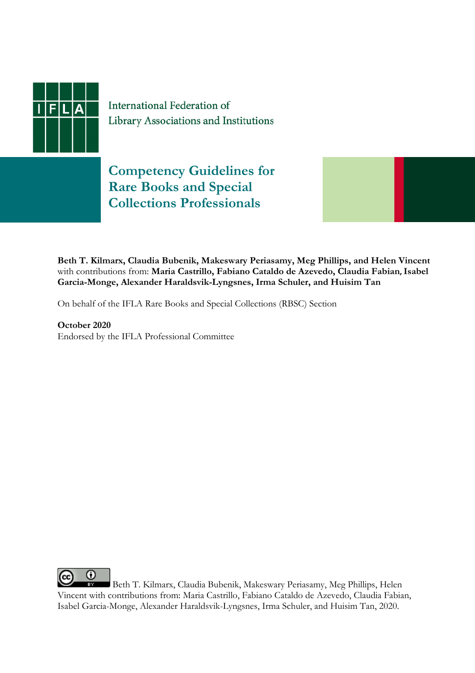

International Federation of Library Associations and Institutions

**Competency Guidelines for Rare Books and Special Collections Professionals**



**Beth T. Kilmarx, Claudia Bubenik, Makeswary Periasamy, Meg Phillips, and Helen Vincent**  with contributions from: **Maria Castrillo, Fabiano Cataldo de Azevedo, Claudia Fabian, Isabel Garcia-Monge, Alexander Haraldsvik-Lyngsnes, Irma Schuler, and Huisim Tan**

On behalf of the IFLA Rare Books and Special Collections (RBSC) Section

**October 2020** Endorsed by the IFLA Professional Committee

O Beth T. Kilmarx, Claudia Bubenik, Makeswary Periasamy, Meg Phillips, Helen Vincent with contributions from: Maria Castrillo, Fabiano Cataldo de Azevedo, Claudia Fabian, Isabel Garcia-Monge, Alexander Haraldsvik-Lyngsnes, Irma Schuler, and Huisim Tan, 2020.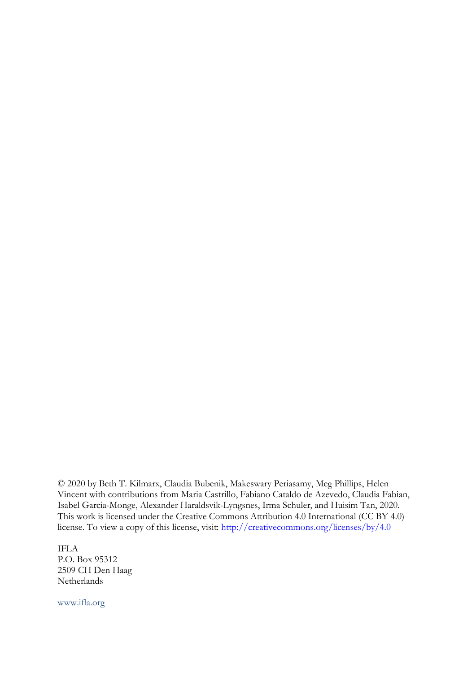© 2020 by Beth T. Kilmarx, Claudia Bubenik, Makeswary Periasamy, Meg Phillips, Helen Vincent with contributions from Maria Castrillo, Fabiano Cataldo de Azevedo, Claudia Fabian, Isabel Garcia-Monge, Alexander Haraldsvik-Lyngsnes, Irma Schuler, and Huisim Tan, 2020. This work is licensed under the Creative Commons Attribution 4.0 International (CC BY 4.0) license. To view a copy of this license, visit: [http://creativecommons.org/licenses/by/4.0](http://creativecommons.org/licenses/by/4.0/)

IFLA P.O. Box 95312 2509 CH Den Haag Netherlands

www.ifla.org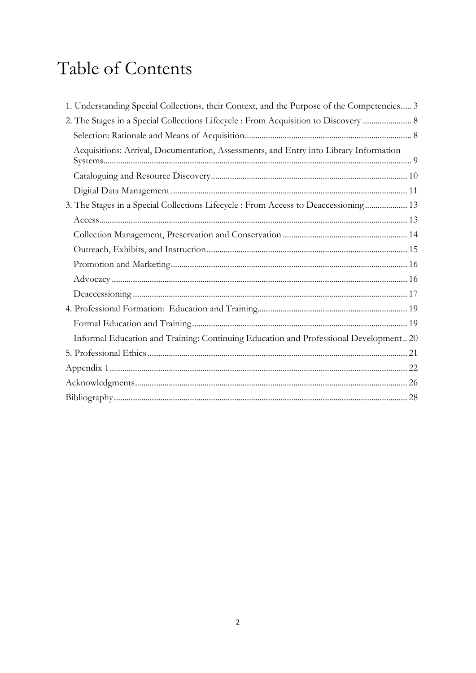# Table of Contents

| 1. Understanding Special Collections, their Context, and the Purpose of the Competencies 3 |
|--------------------------------------------------------------------------------------------|
| 2. The Stages in a Special Collections Lifecycle : From Acquisition to Discovery  8        |
|                                                                                            |
| Acquisitions: Arrival, Documentation, Assessments, and Entry into Library Information      |
|                                                                                            |
|                                                                                            |
| 3. The Stages in a Special Collections Lifecycle : From Access to Deaccessioning 13        |
|                                                                                            |
|                                                                                            |
|                                                                                            |
|                                                                                            |
|                                                                                            |
|                                                                                            |
|                                                                                            |
|                                                                                            |
| Informal Education and Training: Continuing Education and Professional Development 20      |
|                                                                                            |
|                                                                                            |
|                                                                                            |
|                                                                                            |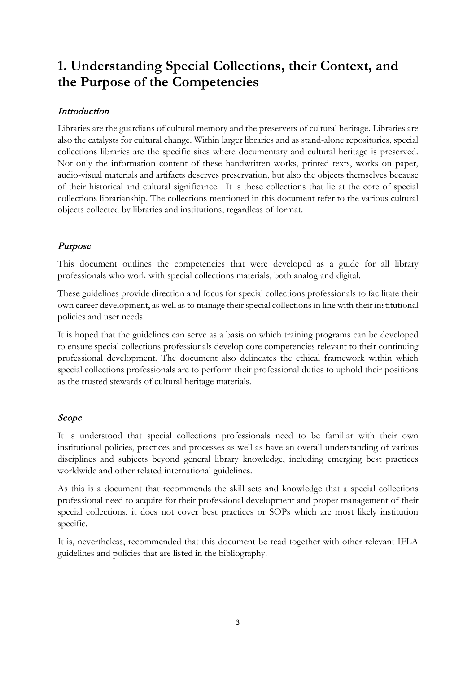# <span id="page-3-0"></span>**1. Understanding Special Collections, their Context, and the Purpose of the Competencies**

# Introduction

Libraries are the guardians of cultural memory and the preservers of cultural heritage. Libraries are also the catalysts for cultural change. Within larger libraries and as stand-alone repositories, special collections libraries are the specific sites where documentary and cultural heritage is preserved. Not only the information content of these handwritten works, printed texts, works on paper, audio-visual materials and artifacts deserves preservation, but also the objects themselves because of their historical and cultural significance. It is these collections that lie at the core of special collections librarianship. The collections mentioned in this document refer to the various cultural objects collected by libraries and institutions, regardless of format.

# Purpose

This document outlines the competencies that were developed as a guide for all library professionals who work with special collections materials, both analog and digital.

These guidelines provide direction and focus for special collections professionals to facilitate their own career development, as well as to manage their special collections in line with their institutional policies and user needs.

It is hoped that the guidelines can serve as a basis on which training programs can be developed to ensure special collections professionals develop core competencies relevant to their continuing professional development. The document also delineates the ethical framework within which special collections professionals are to perform their professional duties to uphold their positions as the trusted stewards of cultural heritage materials.

# Scope

It is understood that special collections professionals need to be familiar with their own institutional policies, practices and processes as well as have an overall understanding of various disciplines and subjects beyond general library knowledge, including emerging best practices worldwide and other related international guidelines.

As this is a document that recommends the skill sets and knowledge that a special collections professional need to acquire for their professional development and proper management of their special collections, it does not cover best practices or SOPs which are most likely institution specific.

It is, nevertheless, recommended that this document be read together with other relevant IFLA guidelines and policies that are listed in the bibliography.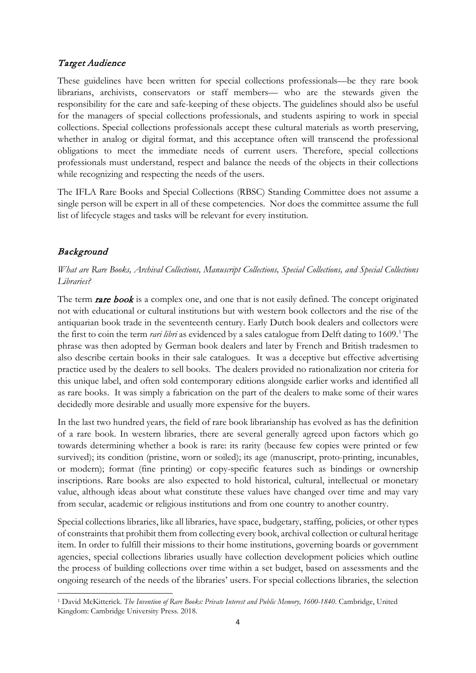### Target Audience

These guidelines have been written for special collections professionals—be they rare book librarians, archivists, conservators or staff members— who are the stewards given the responsibility for the care and safe-keeping of these objects. The guidelines should also be useful for the managers of special collections professionals, and students aspiring to work in special collections. Special collections professionals accept these cultural materials as worth preserving, whether in analog or digital format, and this acceptance often will transcend the professional obligations to meet the immediate needs of current users. Therefore, special collections professionals must understand, respect and balance the needs of the objects in their collections while recognizing and respecting the needs of the users.

The IFLA Rare Books and Special Collections (RBSC) Standing Committee does not assume a single person will be expert in all of these competencies. Nor does the committee assume the full list of lifecycle stages and tasks will be relevant for every institution.

# Background

*What are Rare Books, Archival Collections, Manuscript Collections, Special Collections, and Special Collections Libraries?*

The term rare book is a complex one, and one that is not easily defined. The concept originated not with educational or cultural institutions but with western book collectors and the rise of the antiquarian book trade in the seventeenth century. Early Dutch book dealers and collectors were the first to coin the term *rari libri* as evidenced by a sales catalogue from Delft dating to [1](#page-4-0)609.<sup>1</sup> The phrase was then adopted by German book dealers and later by French and British tradesmen to also describe certain books in their sale catalogues. It was a deceptive but effective advertising practice used by the dealers to sell books. The dealers provided no rationalization nor criteria for this unique label, and often sold contemporary editions alongside earlier works and identified all as rare books. It was simply a fabrication on the part of the dealers to make some of their wares decidedly more desirable and usually more expensive for the buyers.

In the last two hundred years, the field of rare book librarianship has evolved as has the definition of a rare book. In western libraries, there are several generally agreed upon factors which go towards determining whether a book is rare: its rarity (because few copies were printed or few survived); its condition (pristine, worn or soiled); its age (manuscript, proto-printing, incunables, or modern); format (fine printing) or copy-specific features such as bindings or ownership inscriptions. Rare books are also expected to hold historical, cultural, intellectual or monetary value, although ideas about what constitute these values have changed over time and may vary from secular, academic or religious institutions and from one country to another country.

Special collections libraries, like all libraries, have space, budgetary, staffing, policies, or other types of constraints that prohibit them from collecting every book, archival collection or cultural heritage item. In order to fulfill their missions to their home institutions, governing boards or government agencies, special collections libraries usually have collection development policies which outline the process of building collections over time within a set budget, based on assessments and the ongoing research of the needs of the libraries' users. For special collections libraries, the selection

<span id="page-4-0"></span><sup>1</sup> David McKitterick. *The Invention of Rare Books: Private Interest and Public Memory, 1600-1840*. Cambridge, United Kingdom: Cambridge University Press. 2018.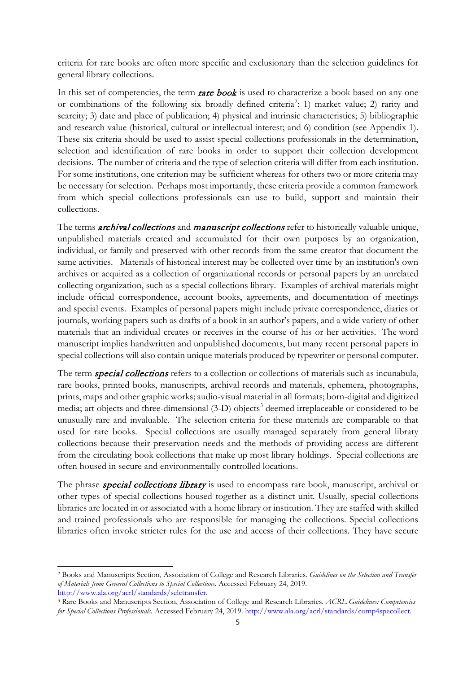criteria for rare books are often more specific and exclusionary than the selection guidelines for general library collections.

In this set of competencies, the term **rare book** is used to characterize a book based on any one or combinations of the following six broadly defined criteria<sup>[2](#page-5-0)</sup>: 1) market value; 2) rarity and scarcity; 3) date and place of publication; 4) physical and intrinsic characteristics; 5) bibliographic and research value (historical, cultural or intellectual interest; and 6) condition (see Appendix 1). These six criteria should be used to assist special collections professionals in the determination, selection and identification of rare books in order to support their collection development decisions. The number of criteria and the type of selection criteria will differ from each institution. For some institutions, one criterion may be sufficient whereas for others two or more criteria may be necessary for selection. Perhaps most importantly, these criteria provide a common framework from which special collections professionals can use to build, support and maintain their collections.

The terms *archival collections* and *manuscript collections* refer to historically valuable unique, unpublished materials created and accumulated for their own purposes by an organization, individual, or family and preserved with other records from the same creator that document the same activities. Materials of historical interest may be collected over time by an institution's own archives or acquired as a collection of organizational records or personal papers by an unrelated collecting organization, such as a special collections library. Examples of archival materials might include official correspondence, account books, agreements, and documentation of meetings and special events. Examples of personal papers might include private correspondence, diaries or journals, working papers such as drafts of a book in an author's papers, and a wide variety of other materials that an individual creates or receives in the course of his or her activities. The word manuscript implies handwritten and unpublished documents, but many recent personal papers in special collections will also contain unique materials produced by typewriter or personal computer.

The term *special collections* refers to a collection or collections of materials such as incunabula, rare books, printed books, manuscripts, archival records and materials, ephemera, photographs, prints, maps and other graphic works; audio-visual material in all formats; born-digital and digitized media; art objects and three-dimensional ([3](#page-5-1)-D) objects<sup>3</sup> deemed irreplaceable or considered to be unusually rare and invaluable. The selection criteria for these materials are comparable to that used for rare books. Special collections are usually managed separately from general library collections because their preservation needs and the methods of providing access are different from the circulating book collections that make up most library holdings. Special collections are often housed in secure and environmentally controlled locations.

The phrase *special collections library* is used to encompass rare book, manuscript, archival or other types of special collections housed together as a distinct unit. Usually, special collections libraries are located in or associated with a home library or institution. They are staffed with skilled and trained professionals who are responsible for managing the collections. Special collections libraries often invoke stricter rules for the use and access of their collections. They have secure

<span id="page-5-0"></span><sup>2</sup> Books and Manuscripts Section, Association of College and Research Libraries. *Guidelines on the Selection and Transfer of Materials from General Collections to Special Collections*. Accessed February 24, 2019. [http://www.ala.org/acrl/standards/selctransfer.](http://www.ala.org/acrl/standards/selctransfer)

<span id="page-5-1"></span><sup>3</sup> Rare Books and Manuscripts Section, Association of College and Research Libraries. *ACRL Guidelines: Competencies for Special Collections Professionals.* Accessed February 24, 2019[. http://www.ala.org/acrl/standards/comp4specollect.](http://www.ala.org/acrl/standards/comp4specollect)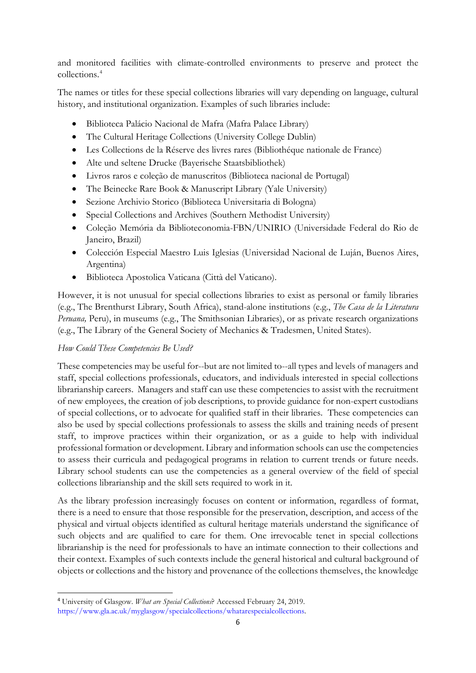and monitored facilities with climate-controlled environments to preserve and protect the collections. [4](#page-6-0)

The names or titles for these special collections libraries will vary depending on language, cultural history, and institutional organization. Examples of such libraries include:

- Biblioteca Palácio Nacional de Mafra (Mafra Palace Library)
- The Cultural Heritage Collections (University College Dublin)
- Les Collections de la Réserve des livres rares (Bibliothéque nationale de France)
- Alte und seltene Drucke (Bayerische Staatsbibliothek)
- Livros raros e coleção de manuscritos (Biblioteca nacional de Portugal)
- The Beinecke Rare Book & Manuscript Library (Yale University)
- Sezione Archivio Storico (Biblioteca Universitaria di Bologna)
- Special Collections and Archives (Southern Methodist University)
- Coleção Memória da Biblioteconomia-FBN/UNIRIO (Universidade Federal do Rio de Janeiro, Brazil)
- Colección Especial Maestro Luis Iglesias (Universidad Nacional de Luján, Buenos Aires, Argentina)
- Biblioteca Apostolica Vaticana (Città del Vaticano).

However, it is not unusual for special collections libraries to exist as personal or family libraries (e.g., The Brenthurst Library, South Africa), stand-alone institutions (e.g., *The Casa de la Literatura Peruana,* Peru), in museums (e.g., The Smithsonian Libraries), or as private research organizations (e.g., The Library of the General Society of Mechanics & Tradesmen, United States).

#### *How Could These Competencies Be Used?*

These competencies may be useful for--but are not limited to--all types and levels of managers and staff, special collections professionals, educators, and individuals interested in special collections librarianship careers. Managers and staff can use these competencies to assist with the recruitment of new employees, the creation of job descriptions, to provide guidance for non-expert custodians of special collections, or to advocate for qualified staff in their libraries. These competencies can also be used by special collections professionals to assess the skills and training needs of present staff, to improve practices within their organization, or as a guide to help with individual professional formation or development. Library and information schools can use the competencies to assess their curricula and pedagogical programs in relation to current trends or future needs. Library school students can use the competencies as a general overview of the field of special collections librarianship and the skill sets required to work in it.

As the library profession increasingly focuses on content or information, regardless of format, there is a need to ensure that those responsible for the preservation, description, and access of the physical and virtual objects identified as cultural heritage materials understand the significance of such objects and are qualified to care for them. One irrevocable tenet in special collections librarianship is the need for professionals to have an intimate connection to their collections and their context. Examples of such contexts include the general historical and cultural background of objects or collections and the history and provenance of the collections themselves, the knowledge

<span id="page-6-0"></span><sup>4</sup> University of Glasgow. *What are Special Collections*? Accessed February 24, 2019. [https://www.gla.ac.uk/myglasgow/specialcollections/whatarespecialcollections.](https://www.gla.ac.uk/myglasgow/specialcollections/whatarespecialcollections)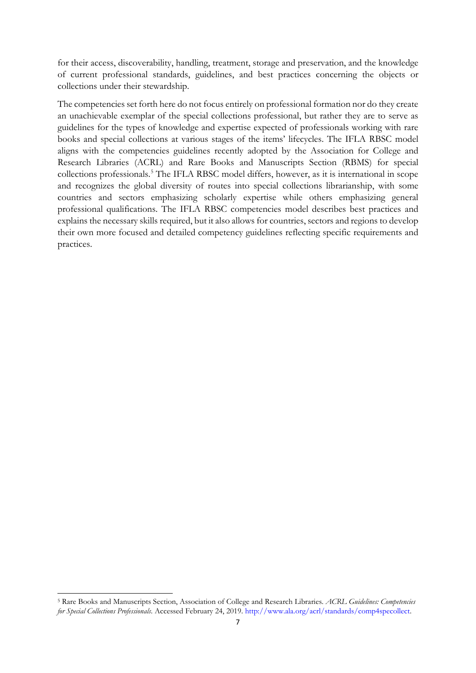for their access, discoverability, handling, treatment, storage and preservation, and the knowledge of current professional standards, guidelines, and best practices concerning the objects or collections under their stewardship.

The competencies set forth here do not focus entirely on professional formation nor do they create an unachievable exemplar of the special collections professional, but rather they are to serve as guidelines for the types of knowledge and expertise expected of professionals working with rare books and special collections at various stages of the items' lifecycles. The IFLA RBSC model aligns with the competencies guidelines recently adopted by the Association for College and Research Libraries (ACRL) and Rare Books and Manuscripts Section (RBMS) for special collections professionals.[5](#page-7-0) The IFLA RBSC model differs, however, as it is international in scope and recognizes the global diversity of routes into special collections librarianship, with some countries and sectors emphasizing scholarly expertise while others emphasizing general professional qualifications. The IFLA RBSC competencies model describes best practices and explains the necessary skills required, but it also allows for countries, sectors and regions to develop their own more focused and detailed competency guidelines reflecting specific requirements and practices.

<span id="page-7-0"></span><sup>5</sup> Rare Books and Manuscripts Section, Association of College and Research Libraries. *ACRL Guidelines: Competencies for Special Collections Professionals*. Accessed February 24, 2019[. http://www.ala.org/acrl/standards/comp4specollect.](http://www.ala.org/acrl/standards/comp4specollect)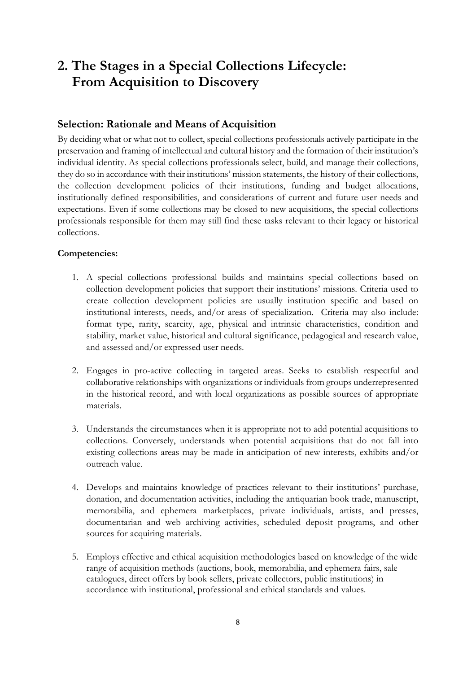# <span id="page-8-0"></span>**2. The Stages in a Special Collections Lifecycle: From Acquisition to Discovery**

#### <span id="page-8-1"></span>**Selection: Rationale and Means of Acquisition**

By deciding what or what not to collect, special collections professionals actively participate in the preservation and framing of intellectual and cultural history and the formation of their institution's individual identity. As special collections professionals select, build, and manage their collections, they do so in accordance with their institutions' mission statements, the history of their collections, the collection development policies of their institutions, funding and budget allocations, institutionally defined responsibilities, and considerations of current and future user needs and expectations. Even if some collections may be closed to new acquisitions, the special collections professionals responsible for them may still find these tasks relevant to their legacy or historical collections.

- 1. A special collections professional builds and maintains special collections based on collection development policies that support their institutions' missions. Criteria used to create collection development policies are usually institution specific and based on institutional interests, needs, and/or areas of specialization. Criteria may also include: format type, rarity, scarcity, age, physical and intrinsic characteristics, condition and stability, market value, historical and cultural significance, pedagogical and research value, and assessed and/or expressed user needs.
- 2. Engages in pro-active collecting in targeted areas. Seeks to establish respectful and collaborative relationships with organizations or individuals from groups underrepresented in the historical record, and with local organizations as possible sources of appropriate materials.
- 3. Understands the circumstances when it is appropriate not to add potential acquisitions to collections. Conversely, understands when potential acquisitions that do not fall into existing collections areas may be made in anticipation of new interests, exhibits and/or outreach value.
- 4. Develops and maintains knowledge of practices relevant to their institutions' purchase, donation, and documentation activities, including the antiquarian book trade, manuscript, memorabilia, and ephemera marketplaces, private individuals, artists, and presses, documentarian and web archiving activities, scheduled deposit programs, and other sources for acquiring materials.
- 5. Employs effective and ethical acquisition methodologies based on knowledge of the wide range of acquisition methods (auctions, book, memorabilia, and ephemera fairs, sale catalogues, direct offers by book sellers, private collectors, public institutions) in accordance with institutional, professional and ethical standards and values.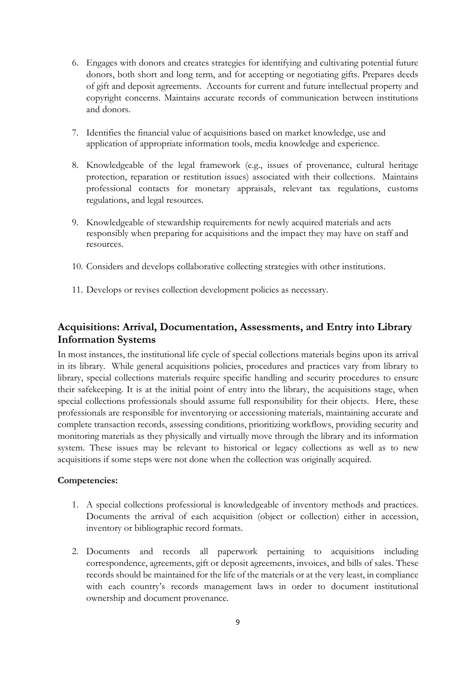- 6. Engages with donors and creates strategies for identifying and cultivating potential future donors, both short and long term, and for accepting or negotiating gifts. Prepares deeds of gift and deposit agreements. Accounts for current and future intellectual property and copyright concerns. Maintains accurate records of communication between institutions and donors.
- 7. Identifies the financial value of acquisitions based on market knowledge, use and application of appropriate information tools, media knowledge and experience.
- 8. Knowledgeable of the legal framework (e.g., issues of provenance, cultural heritage protection, reparation or restitution issues) associated with their collections. Maintains professional contacts for monetary appraisals, relevant tax regulations, customs regulations, and legal resources.
- 9. Knowledgeable of stewardship requirements for newly acquired materials and acts responsibly when preparing for acquisitions and the impact they may have on staff and resources.
- 10. Considers and develops collaborative collecting strategies with other institutions.
- 11. Develops or revises collection development policies as necessary.

# <span id="page-9-0"></span>**Acquisitions: Arrival, Documentation, Assessments, and Entry into Library Information Systems**

In most instances, the institutional life cycle of special collections materials begins upon its arrival in its library. While general acquisitions policies, procedures and practices vary from library to library, special collections materials require specific handling and security procedures to ensure their safekeeping. It is at the initial point of entry into the library, the acquisitions stage, when special collections professionals should assume full responsibility for their objects. Here, these professionals are responsible for inventorying or accessioning materials, maintaining accurate and complete transaction records, assessing conditions, prioritizing workflows, providing security and monitoring materials as they physically and virtually move through the library and its information system. These issues may be relevant to historical or legacy collections as well as to new acquisitions if some steps were not done when the collection was originally acquired.

- 1. A special collections professional is knowledgeable of inventory methods and practices. Documents the arrival of each acquisition (object or collection) either in accession, inventory or bibliographic record formats.
- 2. Documents and records all paperwork pertaining to acquisitions including correspondence, agreements, gift or deposit agreements, invoices, and bills of sales. These records should be maintained for the life of the materials or at the very least, in compliance with each country's records management laws in order to document institutional ownership and document provenance.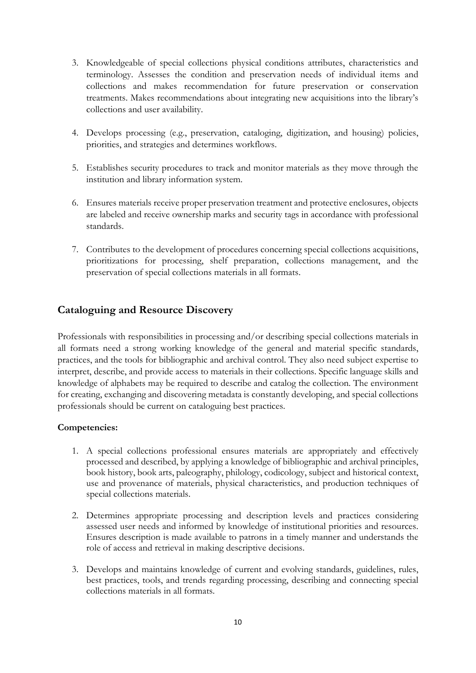- 3. Knowledgeable of special collections physical conditions attributes, characteristics and terminology. Assesses the condition and preservation needs of individual items and collections and makes recommendation for future preservation or conservation treatments. Makes recommendations about integrating new acquisitions into the library's collections and user availability.
- 4. Develops processing (e.g., preservation, cataloging, digitization, and housing) policies, priorities, and strategies and determines workflows.
- 5. Establishes security procedures to track and monitor materials as they move through the institution and library information system.
- 6. Ensures materials receive proper preservation treatment and protective enclosures, objects are labeled and receive ownership marks and security tags in accordance with professional standards.
- 7. Contributes to the development of procedures concerning special collections acquisitions, prioritizations for processing, shelf preparation, collections management, and the preservation of special collections materials in all formats.

# <span id="page-10-0"></span>**Cataloguing and Resource Discovery**

Professionals with responsibilities in processing and/or describing special collections materials in all formats need a strong working knowledge of the general and material specific standards, practices, and the tools for bibliographic and archival control. They also need subject expertise to interpret, describe, and provide access to materials in their collections. Specific language skills and knowledge of alphabets may be required to describe and catalog the collection. The environment for creating, exchanging and discovering metadata is constantly developing, and special collections professionals should be current on cataloguing best practices.

- 1. A special collections professional ensures materials are appropriately and effectively processed and described, by applying a knowledge of bibliographic and archival principles, book history, book arts, paleography, philology, codicology, subject and historical context, use and provenance of materials, physical characteristics, and production techniques of special collections materials.
- 2. Determines appropriate processing and description levels and practices considering assessed user needs and informed by knowledge of institutional priorities and resources. Ensures description is made available to patrons in a timely manner and understands the role of access and retrieval in making descriptive decisions.
- 3. Develops and maintains knowledge of current and evolving standards, guidelines, rules, best practices, tools, and trends regarding processing, describing and connecting special collections materials in all formats.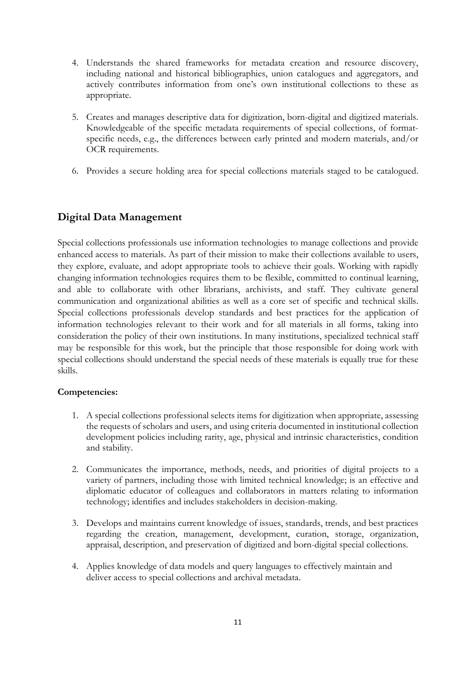- 4. Understands the shared frameworks for metadata creation and resource discovery, including national and historical bibliographies, union catalogues and aggregators, and actively contributes information from one's own institutional collections to these as appropriate.
- 5. Creates and manages descriptive data for digitization, born-digital and digitized materials. Knowledgeable of the specific metadata requirements of special collections, of formatspecific needs, e.g., the differences between early printed and modern materials, and/or OCR requirements.
- 6. Provides a secure holding area for special collections materials staged to be catalogued.

# <span id="page-11-0"></span>**Digital Data Management**

Special collections professionals use information technologies to manage collections and provide enhanced access to materials. As part of their mission to make their collections available to users, they explore, evaluate, and adopt appropriate tools to achieve their goals. Working with rapidly changing information technologies requires them to be flexible, committed to continual learning, and able to collaborate with other librarians, archivists, and staff. They cultivate general communication and organizational abilities as well as a core set of specific and technical skills. Special collections professionals develop standards and best practices for the application of information technologies relevant to their work and for all materials in all forms, taking into consideration the policy of their own institutions. In many institutions, specialized technical staff may be responsible for this work, but the principle that those responsible for doing work with special collections should understand the special needs of these materials is equally true for these skills.

- 1. A special collections professional selects items for digitization when appropriate, assessing the requests of scholars and users, and using criteria documented in institutional collection development policies including rarity, age, physical and intrinsic characteristics, condition and stability.
- 2. Communicates the importance, methods, needs, and priorities of digital projects to a variety of partners, including those with limited technical knowledge; is an effective and diplomatic educator of colleagues and collaborators in matters relating to information technology; identifies and includes stakeholders in decision-making.
- 3. Develops and maintains current knowledge of issues, standards, trends, and best practices regarding the creation, management, development, curation, storage, organization, appraisal, description, and preservation of digitized and born-digital special collections.
- 4. Applies knowledge of data models and query languages to effectively maintain and deliver access to special collections and archival metadata.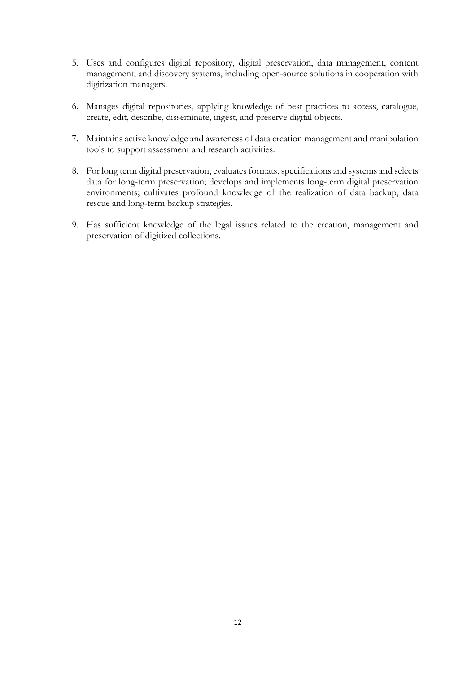- 5. Uses and configures digital repository, digital preservation, data management, content management, and discovery systems, including open-source solutions in cooperation with digitization managers.
- 6. Manages digital repositories, applying knowledge of best practices to access, catalogue, create, edit, describe, disseminate, ingest, and preserve digital objects.
- 7. Maintains active knowledge and awareness of data creation management and manipulation tools to support assessment and research activities.
- 8. For long term digital preservation, evaluates formats, specifications and systems and selects data for long-term preservation; develops and implements long-term digital preservation environments; cultivates profound knowledge of the realization of data backup, data rescue and long-term backup strategies.
- 9. Has sufficient knowledge of the legal issues related to the creation, management and preservation of digitized collections.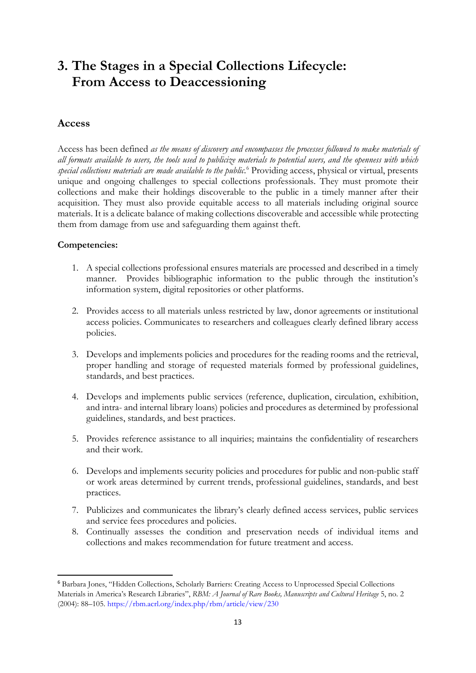# <span id="page-13-0"></span>**3. The Stages in a Special Collections Lifecycle: From Access to Deaccessioning**

#### <span id="page-13-1"></span>**Access**

Access has been defined *as the means of discovery and encompasses the processes followed to make materials of all formats available to users, the tools used to publicize materials to potential users, and the openness with which special collections materials are made available to the public*. [6](#page-13-2) Providing access, physical or virtual, presents unique and ongoing challenges to special collections professionals. They must promote their collections and make their holdings discoverable to the public in a timely manner after their acquisition. They must also provide equitable access to all materials including original source materials. It is a delicate balance of making collections discoverable and accessible while protecting them from damage from use and safeguarding them against theft.

- 1. A special collections professional ensures materials are processed and described in a timely manner. Provides bibliographic information to the public through the institution's information system, digital repositories or other platforms.
- 2. Provides access to all materials unless restricted by law, donor agreements or institutional access policies. Communicates to researchers and colleagues clearly defined library access policies.
- 3. Develops and implements policies and procedures for the reading rooms and the retrieval, proper handling and storage of requested materials formed by professional guidelines, standards, and best practices.
- 4. Develops and implements public services (reference, duplication, circulation, exhibition, and intra- and internal library loans) policies and procedures as determined by professional guidelines, standards, and best practices.
- 5. Provides reference assistance to all inquiries; maintains the confidentiality of researchers and their work.
- 6. Develops and implements security policies and procedures for public and non-public staff or work areas determined by current trends, professional guidelines, standards, and best practices.
- 7. Publicizes and communicates the library's clearly defined access services, public services and service fees procedures and policies.
- 8. Continually assesses the condition and preservation needs of individual items and collections and makes recommendation for future treatment and access.

<span id="page-13-2"></span><sup>6</sup> Barbara Jones, "Hidden Collections, Scholarly Barriers: Creating Access to Unprocessed Special Collections Materials in America's Research Libraries", *RBM: A Journal of Rare Books, Manuscripts and Cultural Heritage* 5, no. 2 (2004): 88–105. <https://rbm.acrl.org/index.php/rbm/article/view/230>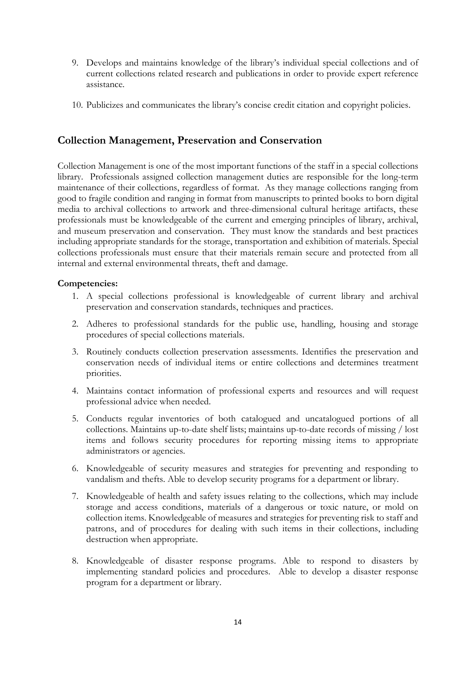- 9. Develops and maintains knowledge of the library's individual special collections and of current collections related research and publications in order to provide expert reference assistance.
- 10. Publicizes and communicates the library's concise credit citation and copyright policies.

### <span id="page-14-0"></span>**Collection Management, Preservation and Conservation**

Collection Management is one of the most important functions of the staff in a special collections library. Professionals assigned collection management duties are responsible for the long-term maintenance of their collections, regardless of format. As they manage collections ranging from good to fragile condition and ranging in format from manuscripts to printed books to born digital media to archival collections to artwork and three-dimensional cultural heritage artifacts, these professionals must be knowledgeable of the current and emerging principles of library, archival, and museum preservation and conservation. They must know the standards and best practices including appropriate standards for the storage, transportation and exhibition of materials. Special collections professionals must ensure that their materials remain secure and protected from all internal and external environmental threats, theft and damage.

- 1. A special collections professional is knowledgeable of current library and archival preservation and conservation standards, techniques and practices.
- 2. Adheres to professional standards for the public use, handling, housing and storage procedures of special collections materials.
- 3. Routinely conducts collection preservation assessments. Identifies the preservation and conservation needs of individual items or entire collections and determines treatment priorities.
- 4. Maintains contact information of professional experts and resources and will request professional advice when needed.
- 5. Conducts regular inventories of both catalogued and uncatalogued portions of all collections. Maintains up-to-date shelf lists; maintains up-to-date records of missing / lost items and follows security procedures for reporting missing items to appropriate administrators or agencies.
- 6. Knowledgeable of security measures and strategies for preventing and responding to vandalism and thefts. Able to develop security programs for a department or library.
- 7. Knowledgeable of health and safety issues relating to the collections, which may include storage and access conditions, materials of a dangerous or toxic nature, or mold on collection items. Knowledgeable of measures and strategies for preventing risk to staff and patrons, and of procedures for dealing with such items in their collections, including destruction when appropriate.
- 8. Knowledgeable of disaster response programs. Able to respond to disasters by implementing standard policies and procedures. Able to develop a disaster response program for a department or library.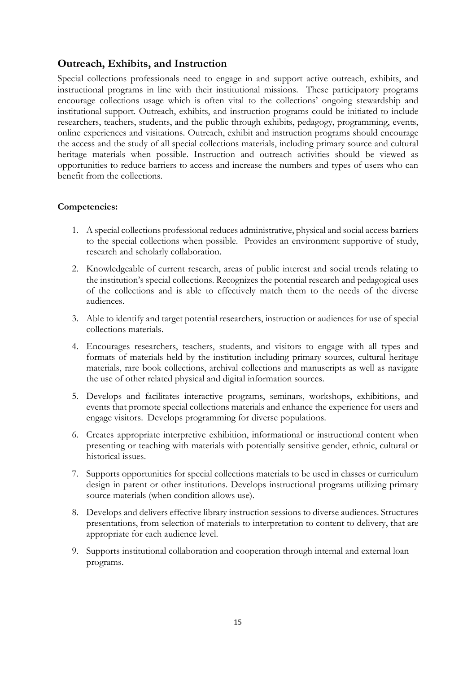# <span id="page-15-0"></span>**Outreach, Exhibits, and Instruction**

Special collections professionals need to engage in and support active outreach, exhibits, and instructional programs in line with their institutional missions. These participatory programs encourage collections usage which is often vital to the collections' ongoing stewardship and institutional support. Outreach, exhibits, and instruction programs could be initiated to include researchers, teachers, students, and the public through exhibits, pedagogy, programming, events, online experiences and visitations. Outreach, exhibit and instruction programs should encourage the access and the study of all special collections materials, including primary source and cultural heritage materials when possible. Instruction and outreach activities should be viewed as opportunities to reduce barriers to access and increase the numbers and types of users who can benefit from the collections.

- 1. A special collections professional reduces administrative, physical and social access barriers to the special collections when possible. Provides an environment supportive of study, research and scholarly collaboration.
- 2. Knowledgeable of current research, areas of public interest and social trends relating to the institution's special collections. Recognizes the potential research and pedagogical uses of the collections and is able to effectively match them to the needs of the diverse audiences.
- 3. Able to identify and target potential researchers, instruction or audiences for use of special collections materials.
- 4. Encourages researchers, teachers, students, and visitors to engage with all types and formats of materials held by the institution including primary sources, cultural heritage materials, rare book collections, archival collections and manuscripts as well as navigate the use of other related physical and digital information sources.
- 5. Develops and facilitates interactive programs, seminars, workshops, exhibitions, and events that promote special collections materials and enhance the experience for users and engage visitors. Develops programming for diverse populations.
- 6. Creates appropriate interpretive exhibition, informational or instructional content when presenting or teaching with materials with potentially sensitive gender, ethnic, cultural or historical issues.
- 7. Supports opportunities for special collections materials to be used in classes or curriculum design in parent or other institutions. Develops instructional programs utilizing primary source materials (when condition allows use).
- 8. Develops and delivers effective library instruction sessions to diverse audiences. Structures presentations, from selection of materials to interpretation to content to delivery, that are appropriate for each audience level.
- 9. Supports institutional collaboration and cooperation through internal and external loan programs.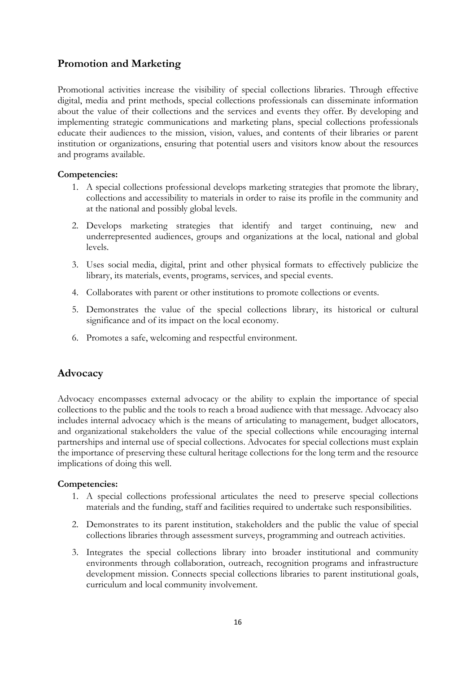# <span id="page-16-0"></span>**Promotion and Marketing**

Promotional activities increase the visibility of special collections libraries. Through effective digital, media and print methods, special collections professionals can disseminate information about the value of their collections and the services and events they offer. By developing and implementing strategic communications and marketing plans, special collections professionals educate their audiences to the mission, vision, values, and contents of their libraries or parent institution or organizations, ensuring that potential users and visitors know about the resources and programs available.

#### **Competencies:**

- 1. A special collections professional develops marketing strategies that promote the library, collections and accessibility to materials in order to raise its profile in the community and at the national and possibly global levels.
- 2. Develops marketing strategies that identify and target continuing, new and underrepresented audiences, groups and organizations at the local, national and global levels.
- 3. Uses social media, digital, print and other physical formats to effectively publicize the library, its materials, events, programs, services, and special events.
- 4. Collaborates with parent or other institutions to promote collections or events.
- 5. Demonstrates the value of the special collections library, its historical or cultural significance and of its impact on the local economy.
- 6. Promotes a safe, welcoming and respectful environment.

# <span id="page-16-1"></span>**Advocacy**

Advocacy encompasses external advocacy or the ability to explain the importance of special collections to the public and the tools to reach a broad audience with that message. Advocacy also includes internal advocacy which is the means of articulating to management, budget allocators, and organizational stakeholders the value of the special collections while encouraging internal partnerships and internal use of special collections. Advocates for special collections must explain the importance of preserving these cultural heritage collections for the long term and the resource implications of doing this well.

- 1. A special collections professional articulates the need to preserve special collections materials and the funding, staff and facilities required to undertake such responsibilities.
- 2. Demonstrates to its parent institution, stakeholders and the public the value of special collections libraries through assessment surveys, programming and outreach activities.
- 3. Integrates the special collections library into broader institutional and community environments through collaboration, outreach, recognition programs and infrastructure development mission. Connects special collections libraries to parent institutional goals, curriculum and local community involvement.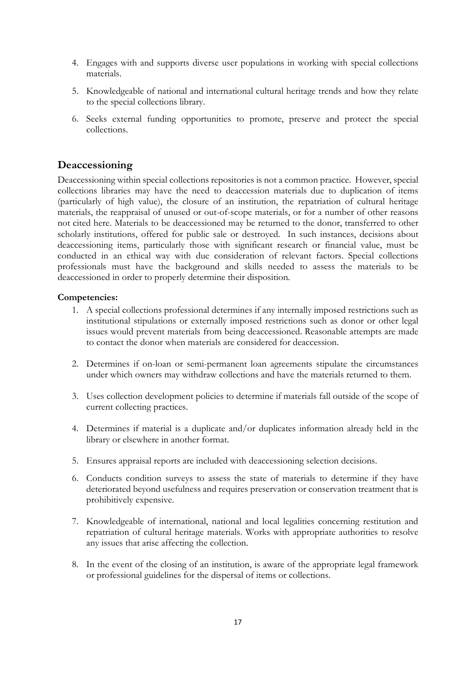- 4. Engages with and supports diverse user populations in working with special collections materials.
- 5. Knowledgeable of national and international cultural heritage trends and how they relate to the special collections library.
- 6. Seeks external funding opportunities to promote, preserve and protect the special collections.

#### <span id="page-17-0"></span>**Deaccessioning**

Deaccessioning within special collections repositories is not a common practice. However, special collections libraries may have the need to deaccession materials due to duplication of items (particularly of high value), the closure of an institution, the repatriation of cultural heritage materials, the reappraisal of unused or out-of-scope materials, or for a number of other reasons not cited here. Materials to be deaccessioned may be returned to the donor, transferred to other scholarly institutions, offered for public sale or destroyed. In such instances, decisions about deaccessioning items, particularly those with significant research or financial value, must be conducted in an ethical way with due consideration of relevant factors. Special collections professionals must have the background and skills needed to assess the materials to be deaccessioned in order to properly determine their disposition.

- 1. A special collections professional determines if any internally imposed restrictions such as institutional stipulations or externally imposed restrictions such as donor or other legal issues would prevent materials from being deaccessioned. Reasonable attempts are made to contact the donor when materials are considered for deaccession.
- 2. Determines if on-loan or semi-permanent loan agreements stipulate the circumstances under which owners may withdraw collections and have the materials returned to them.
- 3. Uses collection development policies to determine if materials fall outside of the scope of current collecting practices.
- 4. Determines if material is a duplicate and/or duplicates information already held in the library or elsewhere in another format.
- 5. Ensures appraisal reports are included with deaccessioning selection decisions.
- 6. Conducts condition surveys to assess the state of materials to determine if they have deteriorated beyond usefulness and requires preservation or conservation treatment that is prohibitively expensive.
- 7. Knowledgeable of international, national and local legalities concerning restitution and repatriation of cultural heritage materials. Works with appropriate authorities to resolve any issues that arise affecting the collection.
- 8. In the event of the closing of an institution, is aware of the appropriate legal framework or professional guidelines for the dispersal of items or collections.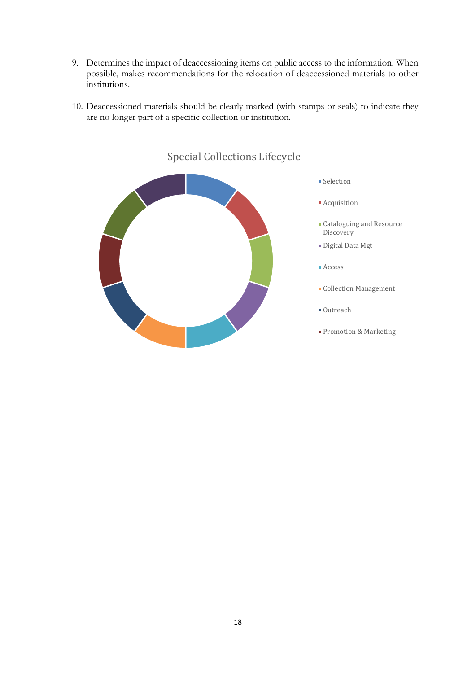- 9. Determines the impact of deaccessioning items on public access to the information. When possible, makes recommendations for the relocation of deaccessioned materials to other institutions.
- 10. Deaccessioned materials should be clearly marked (with stamps or seals) to indicate they are no longer part of a specific collection or institution.



# Special Collections Lifecycle

- **Selection**
- **Acquisition**
- Cataloguing and Resource Discovery
- Digital Data Mgt
- Access
- Collection Management
- Outreach
- **Promotion & Marketing**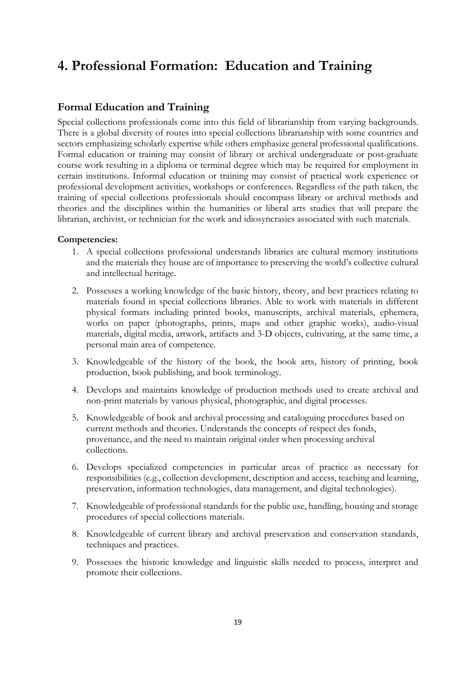# <span id="page-19-0"></span>**4. Professional Formation: Education and Training**

### <span id="page-19-1"></span>**Formal Education and Training**

Special collections professionals come into this field of librarianship from varying backgrounds. There is a global diversity of routes into special collections librarianship with some countries and sectors emphasizing scholarly expertise while others emphasize general professional qualifications. Formal education or training may consist of library or archival undergraduate or post-graduate course work resulting in a diploma or terminal degree which may be required for employment in certain institutions. Informal education or training may consist of practical work experience or professional development activities, workshops or conferences. Regardless of the path taken, the training of special collections professionals should encompass library or archival methods and theories and the disciplines within the humanities or liberal arts studies that will prepare the librarian, archivist, or technician for the work and idiosyncrasies associated with such materials.

- 1. A special collections professional understands libraries are cultural memory institutions and the materials they house are of importance to preserving the world's collective cultural and intellectual heritage.
- 2. Possesses a working knowledge of the basic history, theory, and best practices relating to materials found in special collections libraries. Able to work with materials in different physical formats including printed books, manuscripts, archival materials, ephemera, works on paper (photographs, prints, maps and other graphic works), audio-visual materials, digital media, artwork, artifacts and 3-D objects, cultivating, at the same time, a personal main area of competence.
- 3. Knowledgeable of the history of the book, the book arts, history of printing, book production, book publishing, and book terminology.
- 4. Develops and maintains knowledge of production methods used to create archival and non-print materials by various physical, photographic, and digital processes.
- 5. Knowledgeable of book and archival processing and cataloguing procedures based on current methods and theories. Understands the concepts of respect des fonds, provenance, and the need to maintain original order when processing archival collections.
- 6. Develops specialized competencies in particular areas of practice as necessary for responsibilities (e.g., collection development, description and access, teaching and learning, preservation, information technologies, data management, and digital technologies).
- 7. Knowledgeable of professional standards for the public use, handling, housing and storage procedures of special collections materials.
- 8. Knowledgeable of current library and archival preservation and conservation standards, techniques and practices.
- 9. Possesses the historic knowledge and linguistic skills needed to process, interpret and promote their collections.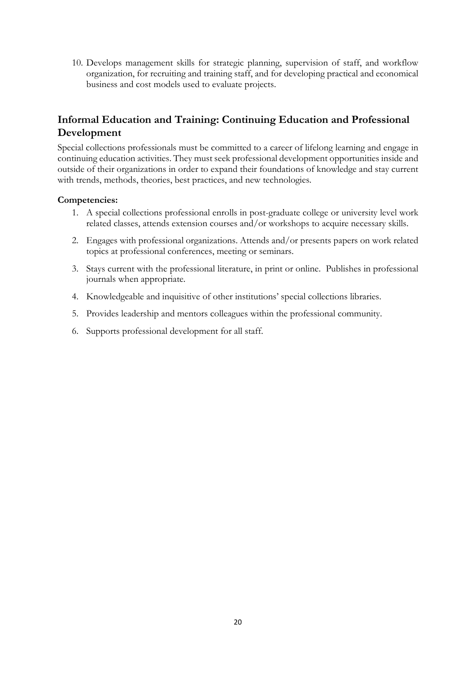10. Develops management skills for strategic planning, supervision of staff, and workflow organization, for recruiting and training staff, and for developing practical and economical business and cost models used to evaluate projects.

# <span id="page-20-0"></span>**Informal Education and Training: Continuing Education and Professional Development**

Special collections professionals must be committed to a career of lifelong learning and engage in continuing education activities. They must seek professional development opportunities inside and outside of their organizations in order to expand their foundations of knowledge and stay current with trends, methods, theories, best practices, and new technologies.

- 1. A special collections professional enrolls in post-graduate college or university level work related classes, attends extension courses and/or workshops to acquire necessary skills.
- 2. Engages with professional organizations. Attends and/or presents papers on work related topics at professional conferences, meeting or seminars.
- 3. Stays current with the professional literature, in print or online. Publishes in professional journals when appropriate.
- 4. Knowledgeable and inquisitive of other institutions' special collections libraries.
- 5. Provides leadership and mentors colleagues within the professional community.
- 6. Supports professional development for all staff.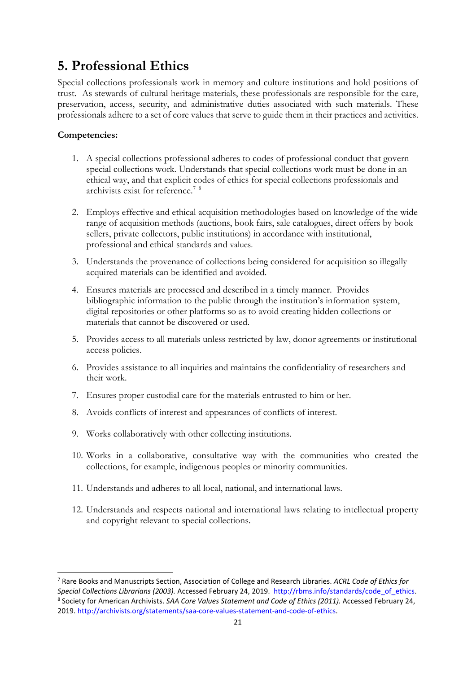# <span id="page-21-0"></span>**5. Professional Ethics**

Special collections professionals work in memory and culture institutions and hold positions of trust. As stewards of cultural heritage materials, these professionals are responsible for the care, preservation, access, security, and administrative duties associated with such materials. These professionals adhere to a set of core values that serve to guide them in their practices and activities.

- 1. A special collections professional adheres to codes of professional conduct that govern special collections work. Understands that special collections work must be done in an ethical way, and that explicit codes of ethics for special collections professionals and archivists exist for reference.[7](#page-21-1) [8](#page-21-2)
- 2. Employs effective and ethical acquisition methodologies based on knowledge of the wide range of acquisition methods (auctions, book fairs, sale catalogues, direct offers by book sellers, private collectors, public institutions) in accordance with institutional, professional and ethical standards and values.
- 3. Understands the provenance of collections being considered for acquisition so illegally acquired materials can be identified and avoided.
- 4. Ensures materials are processed and described in a timely manner. Provides bibliographic information to the public through the institution's information system, digital repositories or other platforms so as to avoid creating hidden collections or materials that cannot be discovered or used.
- 5. Provides access to all materials unless restricted by law, donor agreements or institutional access policies.
- 6. Provides assistance to all inquiries and maintains the confidentiality of researchers and their work.
- 7. Ensures proper custodial care for the materials entrusted to him or her.
- 8. Avoids conflicts of interest and appearances of conflicts of interest.
- 9. Works collaboratively with other collecting institutions.
- 10. Works in a collaborative, consultative way with the communities who created the collections, for example, indigenous peoples or minority communities.
- 11. Understands and adheres to all local, national, and international laws.
- 12. Understands and respects national and international laws relating to intellectual property and copyright relevant to special collections.

<span id="page-21-2"></span><span id="page-21-1"></span><sup>7</sup> Rare Books and Manuscripts Section, Association of College and Research Libraries. *ACRL Code of Ethics for*  Special Collections Librarians (2003). Accessed February 24, 2019. [http://rbms.info/standards/code\\_of\\_ethics.](http://rbms.info/standards/code_of_ethics)<br><sup>8</sup> Society for American Archivists. SAA Core Values Statement and Code of Ethics (2011). Accessed February 24, 2019. [http://archivists.org/statements/saa-core-values-statement-and-code-of-ethics.](http://archivists.org/statements/saa-core-values-statement-and-code-of-ethics)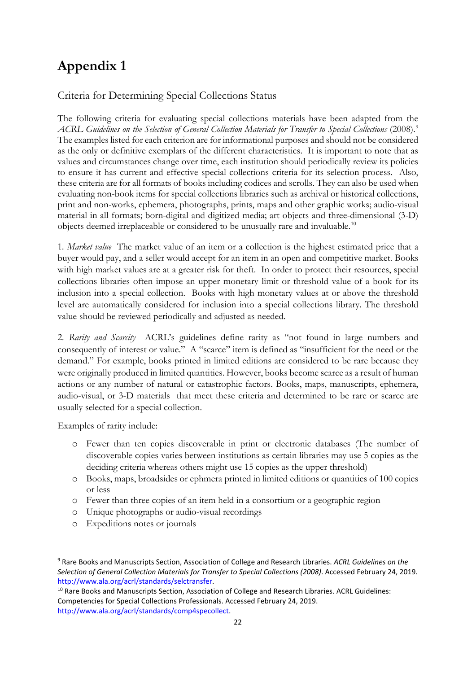# <span id="page-22-0"></span>**Appendix 1**

### Criteria for Determining Special Collections Status

The following criteria for evaluating special collections materials have been adapted from the *ACRL Guidelines on the Selection of General Collection Materials for Transfer to Special Collections* (2008).[9](#page-22-1) The examples listed for each criterion are for informational purposes and should not be considered as the only or definitive exemplars of the different characteristics. It is important to note that as values and circumstances change over time, each institution should periodically review its policies to ensure it has current and effective special collections criteria for its selection process. Also, these criteria are for all formats of books including codices and scrolls. They can also be used when evaluating non-book items for special collections libraries such as archival or historical collections, print and non-works, ephemera, photographs, prints, maps and other graphic works; audio-visual material in all formats; born-digital and digitized media; art objects and three-dimensional (3-D) objects deemed irreplaceable or considered to be unusually rare and invaluable.[10](#page-22-2)

1*. Market value* The market value of an item or a collection is the highest estimated price that a buyer would pay, and a seller would accept for an item in an open and competitive market. Books with high market values are at a greater risk for theft. In order to protect their resources, special collections libraries often impose an upper monetary limit or threshold value of a book for its inclusion into a special collection. Books with high monetary values at or above the threshold level are automatically considered for inclusion into a special collections library. The threshold value should be reviewed periodically and adjusted as needed.

2*. Rarity and Scarcity* ACRL's guidelines define rarity as "not found in large numbers and consequently of interest or value." A "scarce" item is defined as "insufficient for the need or the demand." For example, books printed in limited editions are considered to be rare because they were originally produced in limited quantities. However, books become scarce as a result of human actions or any number of natural or catastrophic factors. Books, maps, manuscripts, ephemera, audio-visual, or 3-D materials that meet these criteria and determined to be rare or scarce are usually selected for a special collection.

Examples of rarity include:

- o Fewer than ten copies discoverable in print or electronic databases (The number of discoverable copies varies between institutions as certain libraries may use 5 copies as the deciding criteria whereas others might use 15 copies as the upper threshold)
- o Books, maps, broadsides or ephmera printed in limited editions or quantities of 100 copies or less
- o Fewer than three copies of an item held in a consortium or a geographic region
- o Unique photographs or audio-visual recordings
- o Expeditions notes or journals

<span id="page-22-1"></span><sup>9</sup> Rare Books and Manuscripts Section, Association of College and Research Libraries. *ACRL Guidelines on the Selection of General Collection Materials for Transfer to Special Collections (2008)*. Accessed February 24, 2019. [http://www.ala.org/acrl/standards/selctransfer.](http://www.ala.org/acrl/standards/selctransfer)

<span id="page-22-2"></span><sup>&</sup>lt;sup>10</sup> Rare Books and Manuscripts Section, Association of College and Research Libraries. ACRL Guidelines: Competencies for Special Collections Professionals. Accessed February 24, 2019. [http://www.ala.org/acrl/standards/comp4specollect.](http://www.ala.org/acrl/standards/comp4specollect)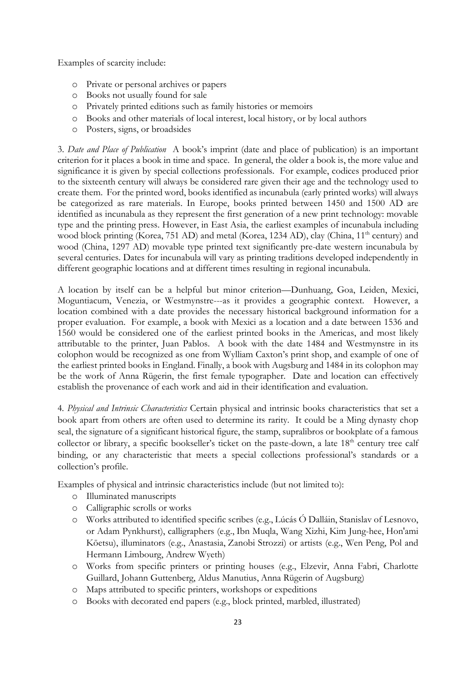Examples of scarcity include:

- o Private or personal archives or papers
- o Books not usually found for sale
- o Privately printed editions such as family histories or memoirs
- o Books and other materials of local interest, local history, or by local authors
- o Posters, signs, or broadsides

3. *Date and Place of Publication* A book's imprint (date and place of publication) is an important criterion for it places a book in time and space. In general, the older a book is, the more value and significance it is given by special collections professionals. For example, codices produced prior to the sixteenth century will always be considered rare given their age and the technology used to create them. For the printed word, books identified as incunabula (early printed works) will always be categorized as rare materials. In Europe, books printed between 1450 and 1500 AD are identified as incunabula as they represent the first generation of a new print technology: movable type and the printing press. However, in East Asia, the earliest examples of incunabula including wood block printing (Korea, 751 AD) and metal (Korea, 1234 AD), clay (China,  $11<sup>th</sup>$  century) and wood (China, 1297 AD) movable type printed text significantly pre-date western incunabula by several centuries. Dates for incunabula will vary as printing traditions developed independently in different geographic locations and at different times resulting in regional incunabula.

A location by itself can be a helpful but minor criterion—Dunhuang, Goa, Leiden, Mexici, Moguntiacum, Venezia, or Westmynstre---as it provides a geographic context. However, a location combined with a date provides the necessary historical background information for a proper evaluation. For example, a book with Mexici as a location and a date between 1536 and 1560 would be considered one of the earliest printed books in the Americas, and most likely attributable to the printer, Juan Pablos. A book with the date 1484 and Westmynstre in its colophon would be recognized as one from Wylliam Caxton's print shop, and example of one of the earliest printed books in England. Finally, a book with Augsburg and 1484 in its colophon may be the work of Anna Rügerin, the first female typographer. Date and location can effectively establish the provenance of each work and aid in their identification and evaluation.

4*. Physical and Intrinsic Characteristics* Certain physical and intrinsic books characteristics that set a book apart from others are often used to determine its rarity. It could be a Ming dynasty chop seal, the signature of a significant historical figure, the stamp, supralibros or bookplate of a famous collector or library, a specific bookseller's ticket on the paste-down, a late 18<sup>th</sup> century tree calf binding, or any characteristic that meets a special collections professional's standards or a collection's profile.

Examples of physical and intrinsic characteristics include (but not limited to):

- o Illuminated manuscripts
- o Calligraphic scrolls or works
- o Works attributed to identified specific scribes (e.g., Lúcás Ó Dalláin, Stanislav of Lesnovo, or Adam Pynkhurst), calligraphers (e.g., Ibn Muqla, Wang Xizhi, Kim Jung-hee, Hon'ami Kōetsu), illuminators (e.g., Anastasia, Zanobi Strozzi) or artists (e.g., Wen Peng, Pol and Hermann Limbourg, Andrew Wyeth)
- o Works from specific printers or printing houses (e.g., Elzevir, Anna Fabri, Charlotte Guillard, Johann Guttenberg, Aldus Manutius, Anna Rügerin of Augsburg)
- o Maps attributed to specific printers, workshops or expeditions
- o Books with decorated end papers (e.g., block printed, marbled, illustrated)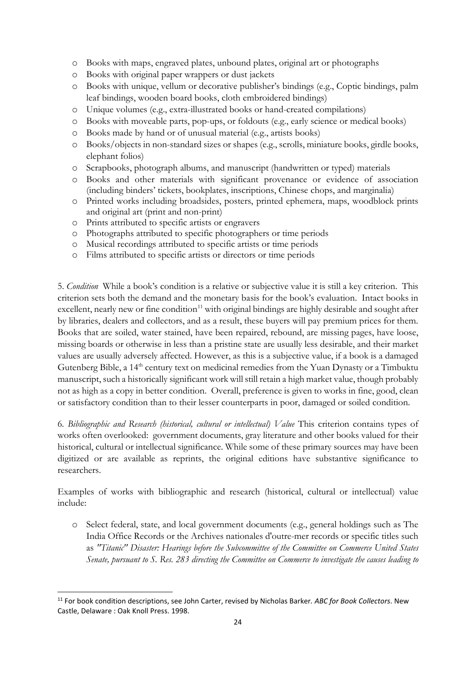- o Books with maps, engraved plates, unbound plates, original art or photographs
- o Books with original paper wrappers or dust jackets
- o Books with unique, vellum or decorative publisher's bindings (e.g., Coptic bindings, palm leaf bindings, wooden board books, cloth embroidered bindings)
- o Unique volumes (e.g., extra-illustrated books or hand-created compilations)
- o Books with moveable parts, pop-ups, or foldouts (e.g., early science or medical books)
- o Books made by hand or of unusual material (e.g., artists books)
- o Books/objects in non-standard sizes or shapes (e.g., scrolls, miniature books, girdle books, elephant folios)
- o Scrapbooks, photograph albums, and manuscript (handwritten or typed) materials
- o Books and other materials with significant provenance or evidence of association (including binders' tickets, bookplates, inscriptions, Chinese chops, and marginalia)
- o Printed works including broadsides, posters, printed ephemera, maps, woodblock prints and original art (print and non-print)
- o Prints attributed to specific artists or engravers
- o Photographs attributed to specific photographers or time periods
- o Musical recordings attributed to specific artists or time periods
- o Films attributed to specific artists or directors or time periods

5. *Condition* While a book's condition is a relative or subjective value it is still a key criterion. This criterion sets both the demand and the monetary basis for the book's evaluation. Intact books in excellent, nearly new or fine condition<sup>[11](#page-24-0)</sup> with original bindings are highly desirable and sought after by libraries, dealers and collectors, and as a result, these buyers will pay premium prices for them. Books that are soiled, water stained, have been repaired, rebound, are missing pages, have loose, missing boards or otherwise in less than a pristine state are usually less desirable, and their market values are usually adversely affected. However, as this is a subjective value, if a book is a damaged Gutenberg Bible, a 14<sup>th</sup> century text on medicinal remedies from the Yuan Dynasty or a Timbuktu manuscript, such a historically significant work will still retain a high market value, though probably not as high as a copy in better condition. Overall, preference is given to works in fine, good, clean or satisfactory condition than to their lesser counterparts in poor, damaged or soiled condition.

6*. Bibliographic and Research (historical, cultural or intellectual) Value* This criterion contains types of works often overlooked: government documents, gray literature and other books valued for their historical, cultural or intellectual significance. While some of these primary sources may have been digitized or are available as reprints, the original editions have substantive significance to researchers.

Examples of works with bibliographic and research (historical, cultural or intellectual) value include:

o Select federal, state, and local government documents (e.g., general holdings such as The India Office Records or the Archives nationales d'outre-mer records or specific titles such as *"Titanic" Disaster: Hearings before the Subcommittee of the Committee on Commerce United States Senate, pursuant to S. Res. 283 directing the Committee on Commerce to investigate the causes leading to* 

<span id="page-24-0"></span><sup>11</sup> For book condition descriptions, see John Carter, revised by Nicholas Barker*. ABC for Book Collectors*. New Castle, Delaware : Oak Knoll Press. 1998.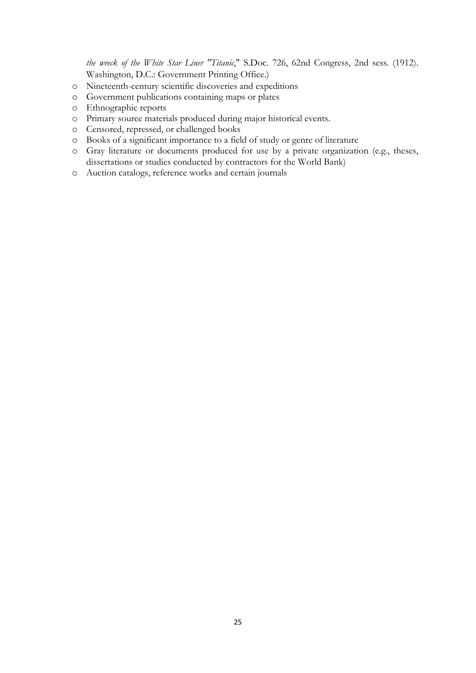*the wreck of the White Star Liner "Titanic*," S.Doc. 726, 62nd Congress, 2nd sess. (1912). Washington, D.C.: Government Printing Office.)

- o Nineteenth-century scientific discoveries and expeditions
- o Government publications containing maps or plates
- o Ethnographic reports
- o Primary source materials produced during major historical events.
- o Censored, repressed, or challenged books
- o Books of a significant importance to a field of study or genre of literature
- o Gray literature or documents produced for use by a private organization (e.g., theses, dissertations or studies conducted by contractors for the World Bank)
- o Auction catalogs, reference works and certain journals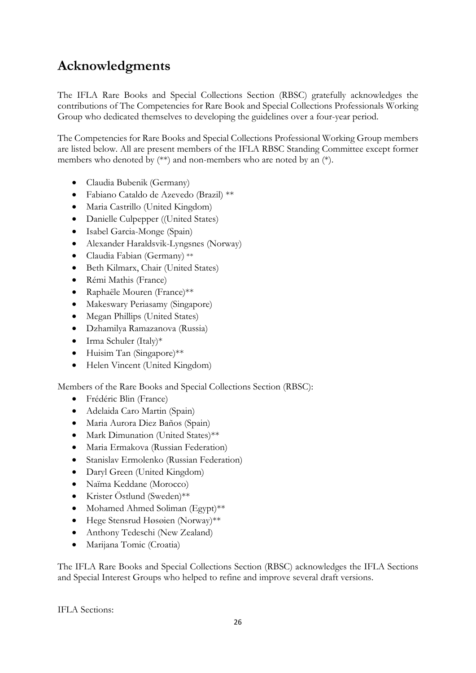# <span id="page-26-0"></span>**Acknowledgments**

The IFLA Rare Books and Special Collections Section (RBSC) gratefully acknowledges the contributions of The Competencies for Rare Book and Special Collections Professionals Working Group who dedicated themselves to developing the guidelines over a four-year period.

The Competencies for Rare Books and Special Collections Professional Working Group members are listed below. All are present members of the IFLA RBSC Standing Committee except former members who denoted by (\*\*) and non-members who are noted by an (\*).

- Claudia Bubenik (Germany)
- Fabiano Cataldo de Azevedo (Brazil) \*\*
- Maria Castrillo (United Kingdom)
- Danielle Culpepper ((United States)
- Isabel Garcia-Monge (Spain)
- Alexander Haraldsvik-Lyngsnes (Norway)
- Claudia Fabian (Germany) \*\*
- Beth Kilmarx, Chair (United States)
- Rémi Mathis (France)
- Raphaële Mouren (France)\*\*
- Makeswary Periasamy (Singapore)
- Megan Phillips (United States)
- Dzhamilya Ramazanova (Russia)
- Irma Schuler (Italy)\*
- Huisim Tan (Singapore)\*\*
- Helen Vincent (United Kingdom)

Members of the Rare Books and Special Collections Section (RBSC):

- Frédéric Blin (France)
- Adelaida Caro Martin (Spain)
- Maria Aurora Diez Baños (Spain)
- Mark Dimunation (United States)\*\*
- Maria Ermakova (Russian Federation)
- Stanislav Ermolenko (Russian Federation)
- Daryl Green (United Kingdom)
- Naïma Keddane (Morocco)
- Krister Östlund (Sweden)\*\*
- Mohamed Ahmed Soliman (Egypt)\*\*
- Hege Stensrud Høsøien (Norway)\*\*
- Anthony Tedeschi (New Zealand)
- Marijana Tomic (Croatia)

The IFLA Rare Books and Special Collections Section (RBSC) acknowledges the IFLA Sections and Special Interest Groups who helped to refine and improve several draft versions.

IFLA Sections: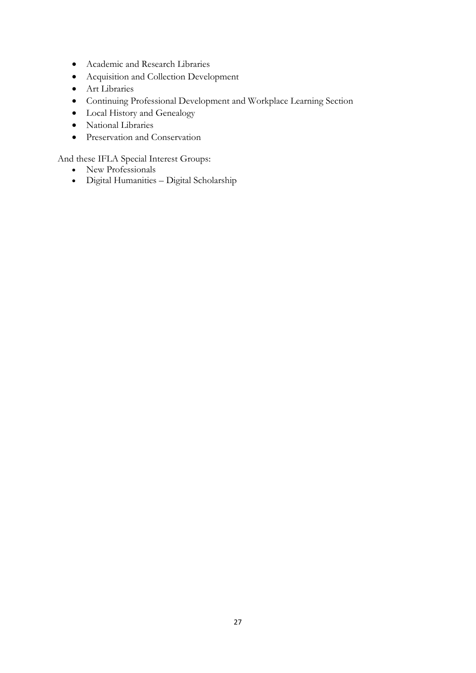- Academic and Research Libraries
- Acquisition and Collection Development
- Art Libraries
- Continuing Professional Development and Workplace Learning Section
- Local History and Genealogy
- National Libraries
- Preservation and Conservation

And these IFLA Special Interest Groups:

- New Professionals
- Digital Humanities Digital Scholarship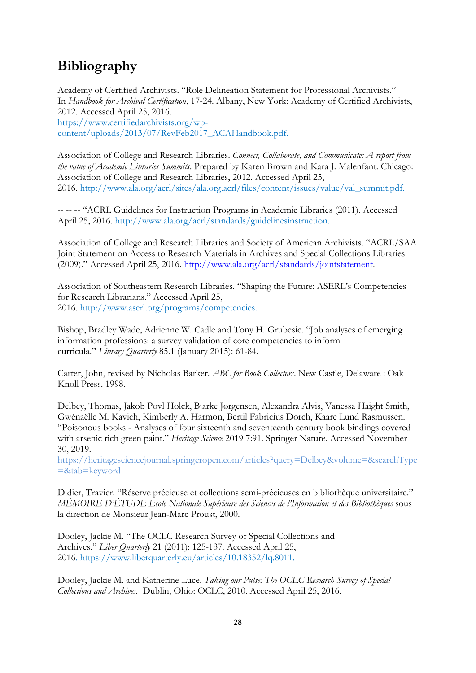# <span id="page-28-0"></span>**Bibliography**

Academy of Certified Archivists. "Role Delineation Statement for Professional Archivists." In *Handbook for Archival Certification*, 17-24. Albany, New York: Academy of Certified Archivists, 2012. Accessed April 25, 2016. [https://www.certifiedarchivists.org/wp](https://www.certifiedarchivists.org/wp-content/uploads/2013/07/RevFeb2017_ACAHandbook.pdf)[content/uploads/2013/07/RevFeb2017\\_ACAHandbook.pdf.](https://www.certifiedarchivists.org/wp-content/uploads/2013/07/RevFeb2017_ACAHandbook.pdf)

Association of College and Research Libraries. *Connect, Collaborate, and Communicate: A report from the value of Academic Libraries Summits*. Prepared by Karen Brown and Kara J. Malenfant. Chicago: Association of College and Research Libraries, 2012. Accessed April 25, 2016. [http://www.ala.org/acrl/sites/ala.org.acrl/files/content/issues/value/val\\_summit.pdf.](http://www.ala.org/acrl/sites/ala.org.acrl/files/content/issues/value/val_summit.pdf)

-- -- -- "ACRL Guidelines for Instruction Programs in Academic Libraries (2011). Accessed April 25, 2016. [http://www.ala.org/acrl/standards/guidelinesinstruction.](http://www.ala.org/acrl/standards/guidelinesinstruction)

Association of College and Research Libraries and Society of American Archivists. "ACRL/SAA Joint Statement on Access to Research Materials in Archives and Special Collections Libraries (2009)." Accessed April 25, 2016. [http://www.ala.org/acrl/standards/jointstatement.](http://www.ala.org/acrl/standards/jointstatement)

Association of Southeastern Research Libraries. "Shaping the Future: ASERL's Competencies for Research Librarians." Accessed April 25, 2016. [http://www.aserl.org/programs/competencies.](http://www.aserl.org/programs/competencies/)

Bishop, Bradley Wade, Adrienne W. Cadle and Tony H. Grubesic. "Job analyses of emerging information professions: a survey validation of core competencies to inform curricula." *Library Quarterly* 85.1 (January 2015): 61-84.

Carter, John, revised by Nicholas Barker. *ABC for Book Collectors*. New Castle, Delaware : Oak Knoll Press. 1998.

Delbey, Thomas, Jakob Povl Holck, Bjarke Jørgensen, Alexandra Alvis, Vanessa Haight Smith, Gwénaëlle M. Kavich, Kimberly A. Harmon, Bertil Fabricius Dorch, Kaare Lund Rasmussen. "Poisonous books - Analyses of four sixteenth and seventeenth century book bindings covered with arsenic rich green paint." *Heritage Science* 2019 7:91. Springer Nature. Accessed November 30, 2019.

[https://heritagesciencejournal.springeropen.com/articles?query=Delbey&volume=&searchType](https://heritagesciencejournal.springeropen.com/articles?query=Delbey&volume=&searchType=&tab=keyword) [=&tab=keyword](https://heritagesciencejournal.springeropen.com/articles?query=Delbey&volume=&searchType=&tab=keyword)

Didier, Travier. "Réserve précieuse et collections semi-précieuses en bibliothèque universitaire." *MÉMOIRE D'ÉTUDE Ecole Nationale Supérieure des Sciences de l'Information et des Bibliothèques* sous la direction de Monsieur Jean-Marc Proust, 2000.

Dooley, Jackie M. "The OCLC Research Survey of Special Collections and Archives." *Liber Quarterly* 21 (2011): 125-137. Accessed April 25, 2016. [https://www.liberquarterly.eu/articles/10.18352/lq.8011.](https://www.liberquarterly.eu/articles/10.18352/lq.8011/)

Dooley, Jackie M. and Katherine Luce. *Taking our Pulse: The OCLC Research Survey of Special Collections and Archives.* Dublin, Ohio: OCLC, 2010. Accessed April 25, 2016.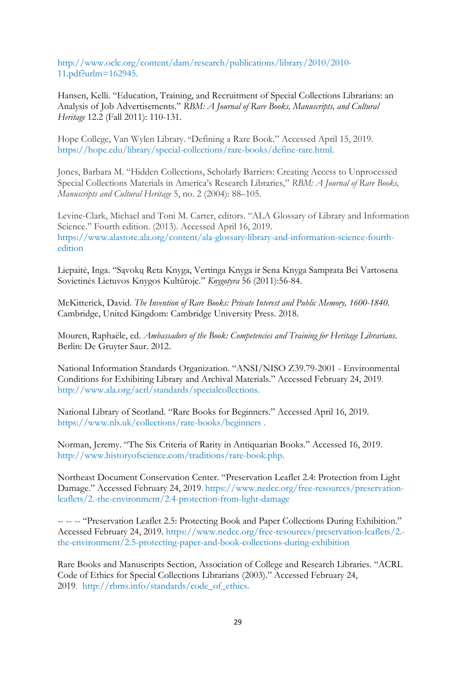[http://www.oclc.org/content/dam/research/publications/library/2010/2010-](http://www.oclc.org/content/dam/research/publications/library/2010/2010-11.pdf?urlm=162945) [11.pdf?urlm=162945.](http://www.oclc.org/content/dam/research/publications/library/2010/2010-11.pdf?urlm=162945)

Hansen, Kelli. "Education, Training, and Recruitment of Special Collections Librarians: an Analysis of Job Advertisements." *RBM: A Journal of Rare Books, Manuscripts, and Cultural Heritage* 12.2 (Fall 2011): 110-131.

Hope College, Van Wylen Library. "Defining a Rare Book." Accessed April 15, 2019. [https://hope.edu/library/special-collections/rare-books/define-rare.html.](https://hope.edu/library/special-collections/rare-books/define-rare.html)

Jones, Barbara M. "Hidden Collections, Scholarly Barriers: Creating Access to Unprocessed Special Collections Materials in America's Research Libraries," *RBM: A Journal of Rare Books, Manuscripts and Cultural Heritage* 5, no. 2 (2004): 88–105.

Levine-Clark, Michael and Toni M. Carter, editors. "ALA Glossary of Library and Information Science." Fourth edition. (2013). Accessed April 16, 2019. [https://www.alastore.ala.org/content/ala-glossary-library-and-information-science-fourth](https://www.alastore.ala.org/content/ala-glossary-library-and-information-science-fourth-edition)[edition](https://www.alastore.ala.org/content/ala-glossary-library-and-information-science-fourth-edition)

Liepaitė, Inga. "Sąvokų Reta Knyga, Vertinga Knyga ir Sena Knyga Samprata Bei Vartosena Sovietinės Lietuvos Knygos Kultūroje." *Knygotyra* 56 (2011):56-84.

McKitterick, David. *The Invention of Rare Books: Private Interest and Public Memory, 1600-1840.*  Cambridge, United Kingdom: Cambridge University Press. 2018.

Mouren, Raphaële, ed. *Ambassadors of the Book: Competencies and Training for Heritage Librarians*. Berlin: De Gruyter Saur. 2012.

National Information Standards Organization. "ANSI/NISO Z39.79-2001 - Environmental Conditions for Exhibiting Library and Archival Materials." Accessed February 24, 2019. [http://www.ala.org/acrl/standards/specialcollections.](http://www.ala.org/acrl/standards/specialcollections)

National Library of Scotland. "Rare Books for Beginners." Accessed April 16, 2019. <https://www.nls.uk/collections/rare-books/beginners> .

Norman, Jeremy. "The Six Criteria of Rarity in Antiquarian Books." Accessed 16, 2019. [http://www.historyofscience.com/traditions/rare-book.php.](http://www.historyofscience.com/traditions/rare-book.php)

Northeast Document Conservation Center. "Preservation Leaflet 2.4: Protection from Light Damage." Accessed February 24, 2019. [https://www.nedcc.org/free-resources/preservation](https://www.nedcc.org/free-resources/preservation-leaflets/2.-the-environment/2.4-protection-from-light-damage)[leaflets/2.-the-environment/2.4-protection-from-light-damage](https://www.nedcc.org/free-resources/preservation-leaflets/2.-the-environment/2.4-protection-from-light-damage)

-- -- -- "Preservation Leaflet 2.5: Protecting Book and Paper Collections During Exhibition." Accessed February 24, 2019. [https://www.nedcc.org/free-resources/preservation-leaflets/2.](https://www.nedcc.org/free-resources/preservation-leaflets/2.-the-environment/2.5-protecting-paper-and-book-collections-during-exhibition) [the-environment/2.5-protecting-paper-and-book-collections-during-exhibition](https://www.nedcc.org/free-resources/preservation-leaflets/2.-the-environment/2.5-protecting-paper-and-book-collections-during-exhibition)

Rare Books and Manuscripts Section, Association of College and Research Libraries. "ACRL Code of Ethics for Special Collections Librarians (2003)." Accessed February 24, 2019. [http://rbms.info/standards/code\\_of\\_ethics.](http://rbms.info/standards/code_of_ethics)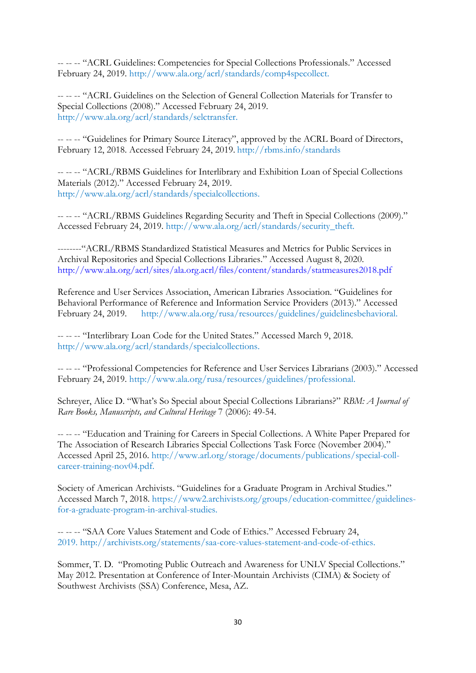-- -- -- "ACRL Guidelines: Competencies for Special Collections Professionals." Accessed February 24, 2019. [http://www.ala.org/acrl/standards/comp4specollect.](http://www.ala.org/acrl/standards/comp4specollect)

-- -- -- "ACRL Guidelines on the Selection of General Collection Materials for Transfer to Special Collections (2008)." Accessed February 24, 2019. [http://www.ala.org/acrl/standards/selctransfer.](http://www.ala.org/acrl/standards/selctransfer)

-- -- -- "Guidelines for Primary Source Literacy", approved by the ACRL Board of Directors, February 12, 2018. Accessed February 24, 2019. [http://rbms.info/standards](http://rbms.info/standards/)

-- -- -- "ACRL/RBMS Guidelines for Interlibrary and Exhibition Loan of Special Collections Materials (2012)." Accessed February 24, 2019. [http://www.ala.org/acrl/standards/specialcollections.](http://www.ala.org/acrl/standards/specialcollections)

-- -- -- "ACRL/RBMS Guidelines Regarding Security and Theft in Special Collections (2009)." Accessed February 24, 2019. [http://www.ala.org/acrl/standards/security\\_theft.](http://www.ala.org/acrl/standards/security_theft)

--------"ACRL/RBMS Standardized Statistical Measures and Metrics for Public Services in Archival Repositories and Special Collections Libraries." Accessed August 8, 2020. <http://www.ala.org/acrl/sites/ala.org.acrl/files/content/standards/statmeasures2018.pdf>

Reference and User Services Association, American Libraries Association. "Guidelines for Behavioral Performance of Reference and Information Service Providers (2013)." Accessed February 24, 2019. [http://www.ala.org/rusa/resources/guidelines/guidelinesbehavioral.](http://www.ala.org/rusa/resources/guidelines/guidelinesbehavioral)

-- -- -- "Interlibrary Loan Code for the United States." Accessed March 9, 2018. [http://www.ala.org/acrl/standards/specialcollections.](http://www.ala.org/acrl/standards/specialcollections)

-- -- -- "Professional Competencies for Reference and User Services Librarians (2003)." Accessed February 24, 2019. [http://www.ala.org/rusa/resources/guidelines/professional.](http://www.ala.org/rusa/resources/guidelines/professional)

Schreyer, Alice D. "What's So Special about Special Collections Librarians?" *RBM: A Journal of Rare Books, Manuscripts, and Cultural Heritage* 7 (2006): 49-54.

-- -- -- "Education and Training for Careers in Special Collections. A White Paper Prepared for The Association of Research Libraries Special Collections Task Force (November 2004)." Accessed April 25, 2016. [http://www.arl.org/storage/documents/publications/special-coll](http://www.arl.org/storage/documents/publications/special-coll-career-training-nov04.pdf)[career-training-nov04.pdf.](http://www.arl.org/storage/documents/publications/special-coll-career-training-nov04.pdf)

Society of American Archivists. "Guidelines for a Graduate Program in Archival Studies." Accessed March 7, 2018. [https://www2.archivists.org/groups/education-committee/guidelines](https://www2.archivists.org/groups/education-committee/guidelines-for-a-graduate-program-in-archival-studies)[for-a-graduate-program-in-archival-studies.](https://www2.archivists.org/groups/education-committee/guidelines-for-a-graduate-program-in-archival-studies)

-- -- -- "SAA Core Values Statement and Code of Ethics." Accessed February 24, 2019. [http://archivists.org/statements/saa-core-values-statement-and-code-of-ethics.](http://archivists.org/statements/saa-core-values-statement-and-code-of-ethics)

Sommer, T. D. "Promoting Public Outreach and Awareness for UNLV Special Collections." May 2012. Presentation at Conference of Inter-Mountain Archivists (CIMA) & Society of Southwest Archivists (SSA) Conference, Mesa, AZ.